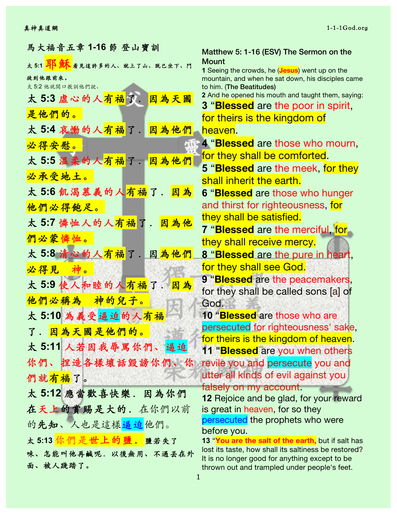| 馬大福音五章 1-16 節 登山寶訓                 | Matthew 5: 1-16 (ESV) The Sermon on the                                                              |
|------------------------------------|------------------------------------------------------------------------------------------------------|
|                                    | <b>Mount</b>                                                                                         |
| 徒到他跟前來。                            | 1 Seeing the crowds, he (Jesus) went up on the<br>mountain, and when he sat down, his disciples came |
| 太5:2 他就開口教訓他們說、                    | to him. (The Beatitudes)                                                                             |
| 太 5:3 虚心的人 <mark>有福</mark> 了. 因為天國 | 2 And he opened his mouth and taught them, saying:                                                   |
| 是他們的。                              | 3 " <b>Blessed</b> are the poor in spirit,                                                           |
|                                    | for theirs is the kingdom of                                                                         |
| 太 5:4 哀慟的人 <mark>有福</mark> 了.因為他們  | heaven.                                                                                              |
| 必得安慰。                              | 4 " <b>Blessed</b> are those who mourn,                                                              |
| 太5:5 温柔的人有福了. 因為他們                 | for they shall be comforted.                                                                         |
| 必承受地土。                             | 5 " <b>Blessed</b> are the meek, for they                                                            |
|                                    | shall inherit the earth.                                                                             |
| 太5:6 飢渴慕義的人有福了.<br>因為              | 6 "Blessed are those who hunger                                                                      |
| 他們必得飽足。                            | and thirst for righteousness, for                                                                    |
| 太5:7 憐恤人的人有福了. 因為他                 | they shall be satisfied.                                                                             |
|                                    | 7 " <b>Blessed</b> are the merciful, for                                                             |
| 們必蒙憐恤。                             | they shall receive mercy.                                                                            |
| 太 5:8 清心的人 <mark>有福了.因為他們</mark>   | 8 " <b>Blessed</b> are the pure in heart,                                                            |
| 必得見<br>种。                          | for they shall see God.                                                                              |
| 太5:9 使人和睦的人有福了. 因為                 | 9 "Blessed are the peacemakers,                                                                      |
|                                    | for they shall be called sons [a] of                                                                 |
| 他們必稱為<br>神的兒子。                     | God.                                                                                                 |
| 太5:10 為義受逼迫的人有福                    | 10 "Blessed are those who are                                                                        |
| 了. 因為天國是他們的。                       | persecuted for righteousness' sake,                                                                  |
| 太5:11 人若因我辱罵你們、逼迫                  | for theirs is the kingdom of heaven.                                                                 |
|                                    | 11 " <b>Blessed</b> are you when others                                                              |
| 你們、捏造各樣壞話毀謗你們、你                    | revile you and persecute you and                                                                     |
| 們就有福了。                             | utter all kinds of evil against you                                                                  |
| 太 5:12 應當歡喜快樂. 因為你們                | falsely on my account.                                                                               |
|                                    | <b>12</b> Rejoice and be glad, for your reward                                                       |
| 在天上的賞賜是大的. 在你們以前                   | is great in heaven, for so they                                                                      |
| 的先知、人也是這樣逼迫他們。                     | persecuted the prophets who were<br>before you.                                                      |
| 太 5:13 <mark>你們是世上的鹽. </mark> 鹽若失了 | 13 "You are the salt of the earth, but if salt has                                                   |
| 味、怎能叫他再鹹呢.以後無用、不過丢在外               | lost its taste, how shall its saltiness be restored?                                                 |
| 面、被人踐踏了。                           | It is no longer good for anything except to be<br>thrown out and trampled under people's feet.       |
|                                    |                                                                                                      |